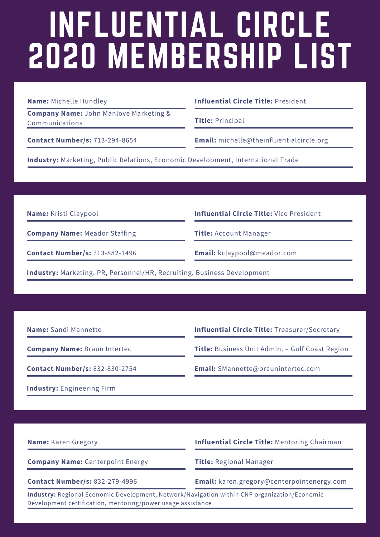## INFLUENTIAL CIRCLE 2020 MEMBERSHIP LIST

**Company Name:** John Manlove Marketing & Communications

**Name:** Michelle Hundley **Influential Circle Title:** President

**Title:** Principal

**Contact Number/s:** 713-294-8654 **Email:** michelle@theinfluentialcircle.org

**Industry:** Marketing, Public Relations, Economic Development, International Trade

**Company Name:** Meador Staffing

**Name:** Kristi Claypool **Influential Circle Title:** Vice President

**Title:** Account Manager

**Contact Number/s:** 713-882-1496 **Email:** kclaypool@meador.com

**Industry:** Marketing, PR, Personnel/HR, Recruiting, Business Development

**Name:** Sandi Mannette **Influential Circle Title:** Treasurer/Secretary

**Company Name:** Braun Intertec

**Title:** Business Unit Admin. – Gulf Coast Region

**Contact Number/s:** 832-830-2754 **Email:** SMannette@braunintertec.com

**Industry:** Engineering Firm

**Company Name:** Centerpoint Energy

**Name:** Karen Gregory **Influential Circle Title:** Mentoring Chairman

**Title:** Regional Manager

**Contact Number/s:** 832-279-4996 **Email:** karen.gregory@centerpointenergy.com

**Industry:** Regional Economic Development, Network/Navigation within CNP organization/Economic Development certification, mentoring/power usage assistance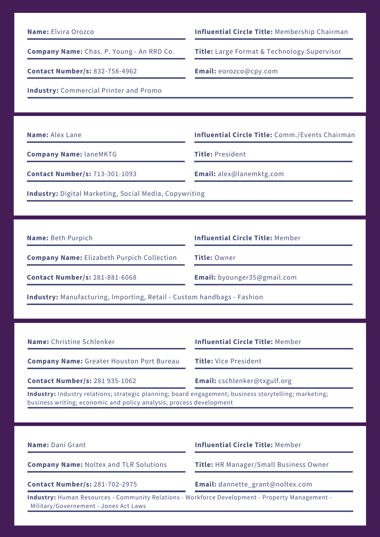| <b>Name:</b> Elvira Orozco |  |  |
|----------------------------|--|--|
|----------------------------|--|--|

**Company Name:** Chas. P. Young - An RRD Co.

**Contact Number/s:** 832-758-4962 **Email:** eorozco@cpy.com

**Influential Circle Title: Membership Chairman** 

**Title:** Large Format & Technology Supervisor

**Industry:** Commercial Printer and Promo

**Company Name:** laneMKTG

**Name:** Alex Lane **Influential Circle Title:** Comm./Events Chairman

**Title:** President

**Contact Number/s:** 713-301-1093 **Email:** alex@lanemktg.com

**Industry:** Digital Marketing, Social Media, Copywriting

**Name:** Beth Purpich **Influential Circle Title:** Member

**Company Name:** Elizabeth Purpich Collection

**Contact Number/s:** 281-881-6068 **Email:** byounger35@gmail.com

**Title:** Owner

**Industry:** Manufacturing, Importing, Retail - Custom handbags - Fashion

**Name:** Christine Schlenker **Influential Circle Title:** Member

**Company Name:** Greater Houston Port Bureau

**Contact Number/s:** 281 935-1062 **Email:** cschlenker@txgulf.org

**Title:** Vice President

**Industry:** Industry relations; strategic planning; board engagement; business storytelling; marketing; business writing; economic and policy analysis; process development

**Name:** Dani Grant **Influential Circle Title:** Member **Company Name:** Noltex and TLR Solutions **Contact Number/s:** 281-702-2975 **Email:** dannette\_grant@noltex.com **Industry:** Human Resources - Community Relations - Workforce Development - Property Management - Military/Governement - Jones Act Laws **Title:** HR Manager/Small Business Owner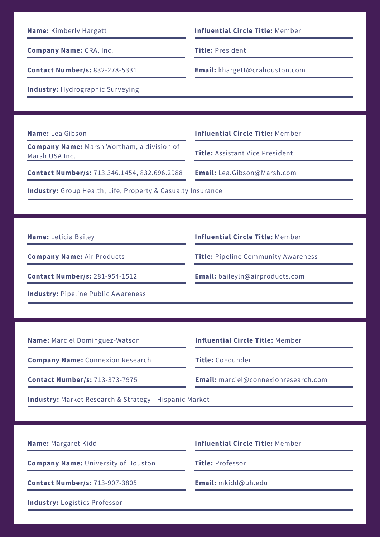**Company Name:** CRA, Inc.

**Contact Number/s:** 832-278-5331 **Email:** khargett@crahouston.com

**Name:** Kimberly Hargett **Influential Circle Title:** Member

**Title:** President

**Industry:** Hydrographic Surveying

**Company Name:** Marsh Wortham, a division of Marsh USA Inc.

**Name:** Lea Gibson **Influential Circle Title:** Member

**Title:** Assistant Vice President

**Contact Number/s:** 713.346.1454, 832.696.2988 **Email:** Lea.Gibson@Marsh.com

**Industry:** Group Health, Life, Property & Casualty Insurance

**Company Name:** Air Products

**Industry:** Pipeline Public Awareness

**Name:** Leticia Bailey **Influential Circle Title:** Member

**Title:** Pipeline Community Awareness

**Contact Number/s:** 281-954-1512 **Email:** baileyln@airproducts.com

**Name:** Marciel Dominguez-Watson **Influential Circle Title:** Member

**Company Name:** Connexion Research

**Title:** CoFounder

**Contact Number/s:** 713-373-7975 **Email:** marciel@connexionresearch.com

**Industry:** Market Research & Strategy - Hispanic Market

**Company Name:** University of Houston

**Contact Number/s:** 713-907-3805 **Email:** mkidd@uh.edu

**Industry:** Logistics Professor

**Name:** Margaret Kidd **Influential Circle Title:** Member

**Title:** Professor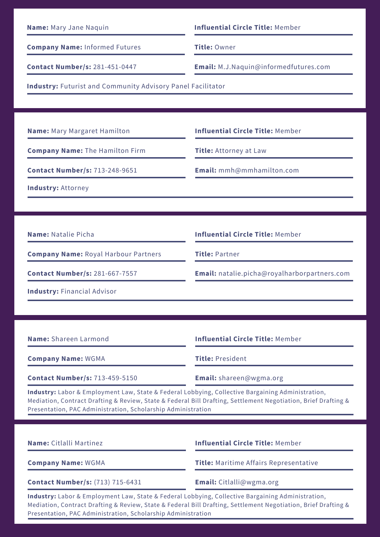| Name: Mary Jane Naquin                                                                                                                                                                                                                                                              | <b>Influential Circle Title: Member</b>             |  |  |
|-------------------------------------------------------------------------------------------------------------------------------------------------------------------------------------------------------------------------------------------------------------------------------------|-----------------------------------------------------|--|--|
| <b>Company Name: Informed Futures</b>                                                                                                                                                                                                                                               | Title: Owner                                        |  |  |
| <b>Contact Number/s: 281-451-0447</b>                                                                                                                                                                                                                                               | Email: M.J.Naquin@informedfutures.com               |  |  |
| <b>Industry: Futurist and Community Advisory Panel Facilitator</b>                                                                                                                                                                                                                  |                                                     |  |  |
|                                                                                                                                                                                                                                                                                     |                                                     |  |  |
| <b>Name:</b> Mary Margaret Hamilton                                                                                                                                                                                                                                                 | <b>Influential Circle Title: Member</b>             |  |  |
| <b>Company Name: The Hamilton Firm</b>                                                                                                                                                                                                                                              | <b>Title: Attorney at Law</b>                       |  |  |
| <b>Contact Number/s: 713-248-9651</b>                                                                                                                                                                                                                                               | Email: mmh@mmhamilton.com                           |  |  |
| <b>Industry: Attorney</b>                                                                                                                                                                                                                                                           |                                                     |  |  |
|                                                                                                                                                                                                                                                                                     |                                                     |  |  |
| <b>Name: Natalie Picha</b>                                                                                                                                                                                                                                                          | <b>Influential Circle Title: Member</b>             |  |  |
| <b>Company Name: Royal Harbour Partners</b>                                                                                                                                                                                                                                         | <b>Title: Partner</b>                               |  |  |
| <b>Contact Number/s: 281-667-7557</b>                                                                                                                                                                                                                                               | <b>Email:</b> natalie.picha@royalharborpartners.com |  |  |
| <b>Industry: Financial Advisor</b>                                                                                                                                                                                                                                                  |                                                     |  |  |
|                                                                                                                                                                                                                                                                                     |                                                     |  |  |
| <b>Name: Shareen Larmond</b>                                                                                                                                                                                                                                                        | <b>Influential Circle Title: Member</b>             |  |  |
| <b>Company Name: WGMA</b>                                                                                                                                                                                                                                                           | <b>Title: President</b>                             |  |  |
| <b>Contact Number/s: 713-459-5150</b>                                                                                                                                                                                                                                               | Email: shareen@wgma.org                             |  |  |
| Industry: Labor & Employment Law, State & Federal Lobbying, Collective Bargaining Administration,<br>Mediation, Contract Drafting & Review, State & Federal Bill Drafting, Settlement Negotiation, Brief Drafting &<br>Presentation, PAC Administration, Scholarship Administration |                                                     |  |  |
|                                                                                                                                                                                                                                                                                     |                                                     |  |  |
| Name: Citlalli Martinez                                                                                                                                                                                                                                                             | <b>Influential Circle Title: Member</b>             |  |  |
| <b>Company Name: WGMA</b>                                                                                                                                                                                                                                                           | <b>Title:</b> Maritime Affairs Representative       |  |  |

**Contact Number/s:** (713) 715-6431 **Email:** Citlalli@wgma.org

**Industry:** Labor & Employment Law, State & Federal Lobbying, Collective Bargaining Administration, Mediation, Contract Drafting & Review, State & Federal Bill Drafting, Settlement Negotiation, Brief Drafting & Presentation, PAC Administration, Scholarship Administration